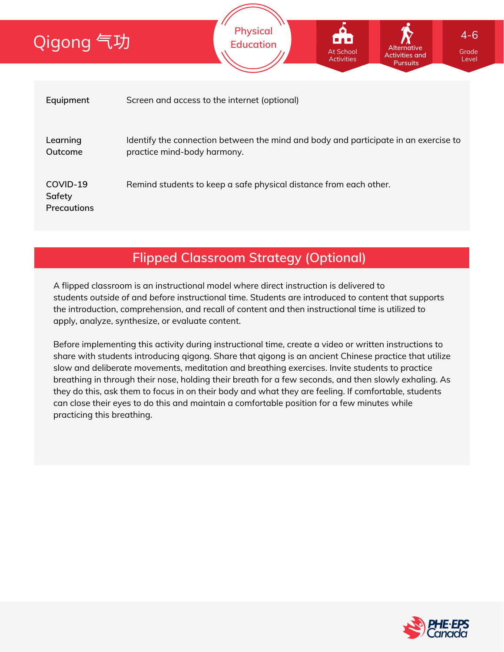| Qigong 气功                                | <b>Physical</b><br>$4 - 6$<br>'u a u<br><b>Education</b><br>Alternative<br>At School<br>Grade<br><b>Activities and</b><br><b>Activities</b><br>Level<br><b>Pursuits</b> |  |  |  |  |  |
|------------------------------------------|-------------------------------------------------------------------------------------------------------------------------------------------------------------------------|--|--|--|--|--|
|                                          |                                                                                                                                                                         |  |  |  |  |  |
| Equipment                                | Screen and access to the internet (optional)                                                                                                                            |  |  |  |  |  |
| Learning<br>Outcome                      | Identify the connection between the mind and body and participate in an exercise to<br>practice mind-body harmony.                                                      |  |  |  |  |  |
| COVID-19<br>Safety<br><b>Precautions</b> | Remind students to keep a safe physical distance from each other.                                                                                                       |  |  |  |  |  |

# **Flipped Classroom Strategy (Optional)**

A flipped classroom is an instructional model where direct instruction is delivered to students *outside of* and *before* instructional time. Students are introduced to content that supports the introduction, comprehension, and recall of content and then instructional time is utilized to apply, analyze, synthesize, or evaluate content.

Before implementing this activity during instructional time, create a video or written instructions to share with students introducing qigong. Share that qigong is an ancient Chinese practice that utilize slow and deliberate movements, meditation and breathing exercises. Invite students to practice breathing in through their nose, holding their breath for a few seconds, and then slowly exhaling. As they do this, ask them to focus in on their body and what they are feeling. If comfortable, students can close their eyes to do this and maintain a comfortable position for a few minutes while practicing this breathing.

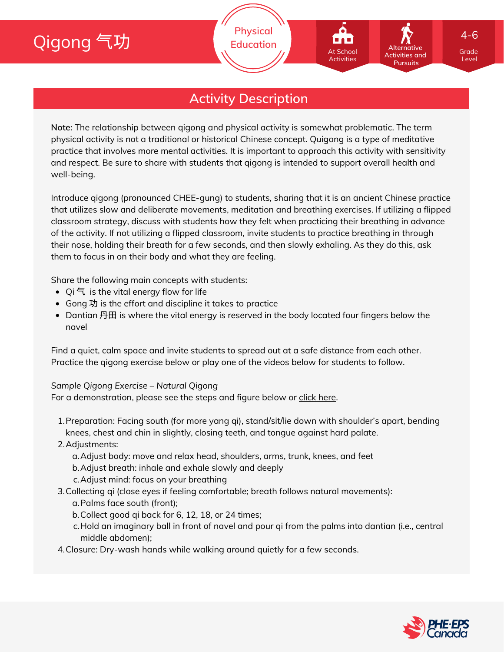# Qigong 气功

# **Activity Description**

**Note:** The relationship between qigong and physical activity is somewhat problematic. The term physical activity is not a traditional or historical Chinese concept. Quigong is a type of meditative practice that involves more mental activities. It is important to approach this activity with sensitivity and respect. Be sure to share with students that qigong is intended to support overall health and well-being.

Introduce qigong (pronounced CHEE-gung) to students, sharing that it is an ancient Chinese practice that utilizes slow and deliberate movements, meditation and breathing exercises. If utilizing a flipped classroom strategy, discuss with students how they felt when practicing their breathing in advance of the activity. If not utilizing a flipped classroom, invite students to practice breathing in through their nose, holding their breath for a few seconds, and then slowly exhaling. As they do this, ask them to focus in on their body and what they are feeling.

Share the following main concepts with students:

- Qi 气 is the vital energy flow for life
- Gong 功 is the effort and discipline it takes to practice
- Dantian 丹田 is where the vital energy is reserved in the body located four fingers below the navel

Find a quiet, calm space and invite students to spread out at a safe distance from each other. Practice the qigong exercise below or play one of the videos below for students to follow.

#### *Sample Qigong Exercise – Natural Qigong*

For a demonstration, please see the steps and figure below or click [here](https://youtu.be/mN-6soeNowY).

- 1. Preparation: Facing south (for more yang qi), stand/sit/lie down with shoulder's apart, bending knees, chest and chin in slightly, closing teeth, and tongue against hard palate.
- 2. Adjustments:
	- Adjust body: move and relax head, shoulders, arms, trunk, knees, and feet a.
	- b. Adjust breath: inhale and exhale slowly and deeply
	- Adjust mind: focus on your breathing c.
- 3. Collecting qi (close eyes if feeling comfortable; breath follows natural movements):
	- Palms face south (front); a.
	- b. Collect good qi back for 6, 12, 18, or 24 times;
	- Hold an imaginary ball in front of navel and pour qi from the palms into dantian (i.e., central c. middle abdomen);
- Closure: Dry-wash hands while walking around quietly for a few seconds. 4.



Grade Level

**Alternative Activities and Pursuits**

At School Activities

4-6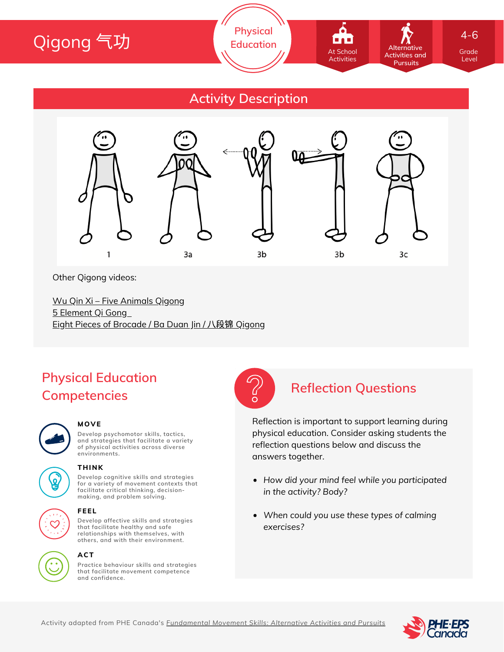

### **Activity Description**



Other Qigong videos:

Wu Qin Xi – Five [Animals](https://www.youtube.com/watch?v=SyZIsaxTW0Y) Qigong 5 [Element](https://www.youtube.com/watch?v=_kGf2qIKDyg) Qi Gong Eight Pieces of [Brocade](https://www.youtube.com/watch?v=445Fz8AQvX8) / Ba Duan Jin / 八段锦 Qigong

# **Physical Education Competencies**



#### **MOVE**

**Develop psychomotor skills, tactics, and strategies that facilitate a variety of physical activities across diverse environments.**



#### **THINK**

**Develop cognitive skills and strategies for a variety of movement contexts that facilitate critical thinking, decision making, and problem solving.**



#### **FEEL**

**Develop affective skills and strategies that facilitate healthy and safe relationships with themselves, with others, and with their environment.**



#### **ACT**

**Practice behaviour skills and strategies that facilitate movement competence and confidence.**



### **Reflection Questions**

Reflection is important to support learning during physical education. Consider asking students the reflection questions below and discuss the answers together.

- *How did your mind feel while you participated in the activity? Body?*
- *When could you use these types of calming exercises?*